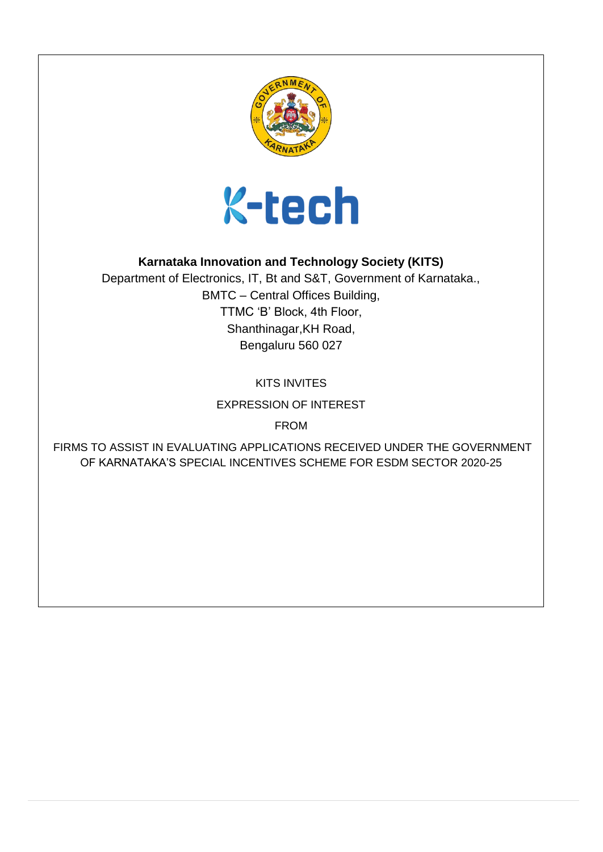



## **Karnataka Innovation and Technology Society (KITS)**

Department of Electronics, IT, Bt and S&T, Government of Karnataka., BMTC – Central Offices Building, TTMC 'B' Block, 4th Floor, Shanthinagar,KH Road, Bengaluru 560 027

KITS INVITES

EXPRESSION OF INTEREST

FROM

FIRMS TO ASSIST IN EVALUATING APPLICATIONS RECEIVED UNDER THE GOVERNMENT OF KARNATAKA'S SPECIAL INCENTIVES SCHEME FOR ESDM SECTOR 2020-25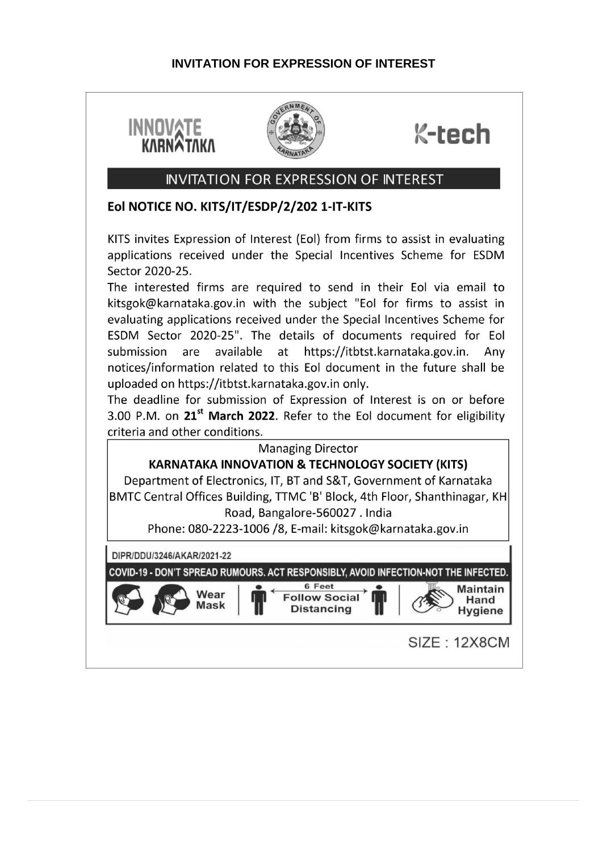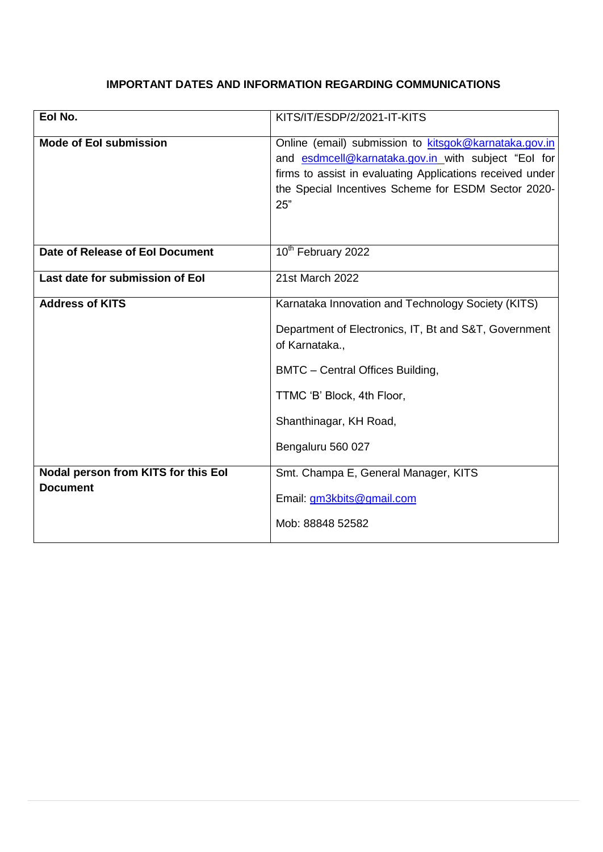#### **IMPORTANT DATES AND INFORMATION REGARDING COMMUNICATIONS**

| Eol No.                                                | KITS/IT/ESDP/2/2021-IT-KITS                                                                                                                                                                                                                    |
|--------------------------------------------------------|------------------------------------------------------------------------------------------------------------------------------------------------------------------------------------------------------------------------------------------------|
| <b>Mode of Eol submission</b>                          | Online (email) submission to kitsgok@karnataka.gov.in<br>and esdmcell@karnataka.gov.in with subject "Eol for<br>firms to assist in evaluating Applications received under<br>the Special Incentives Scheme for ESDM Sector 2020-<br>25"        |
| Date of Release of Eol Document                        | 10 <sup>th</sup> February 2022                                                                                                                                                                                                                 |
| Last date for submission of Eol                        | 21st March 2022                                                                                                                                                                                                                                |
| <b>Address of KITS</b>                                 | Karnataka Innovation and Technology Society (KITS)<br>Department of Electronics, IT, Bt and S&T, Government<br>of Karnataka.,<br>BMTC - Central Offices Building,<br>TTMC 'B' Block, 4th Floor,<br>Shanthinagar, KH Road,<br>Bengaluru 560 027 |
| Nodal person from KITS for this Eol<br><b>Document</b> | Smt. Champa E, General Manager, KITS<br>Email: gm3kbits@gmail.com<br>Mob: 88848 52582                                                                                                                                                          |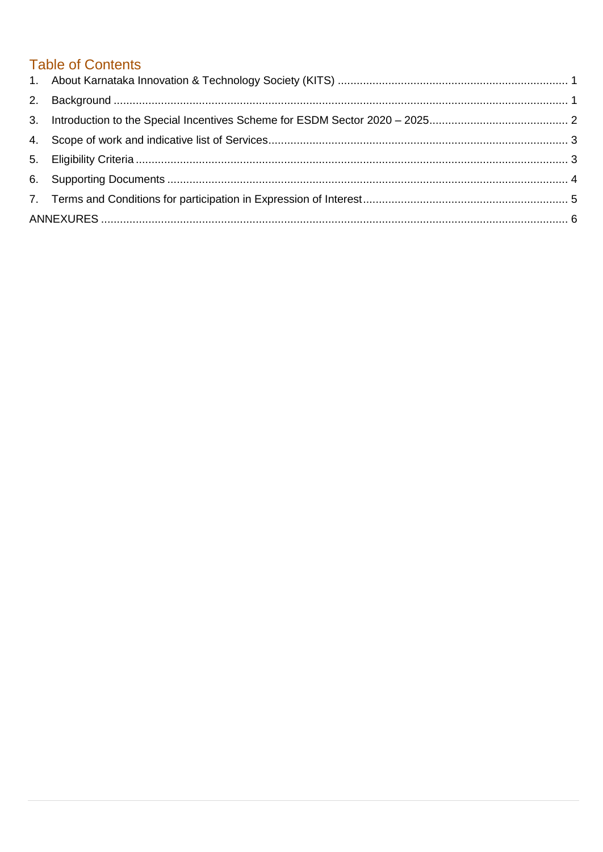# **Table of Contents**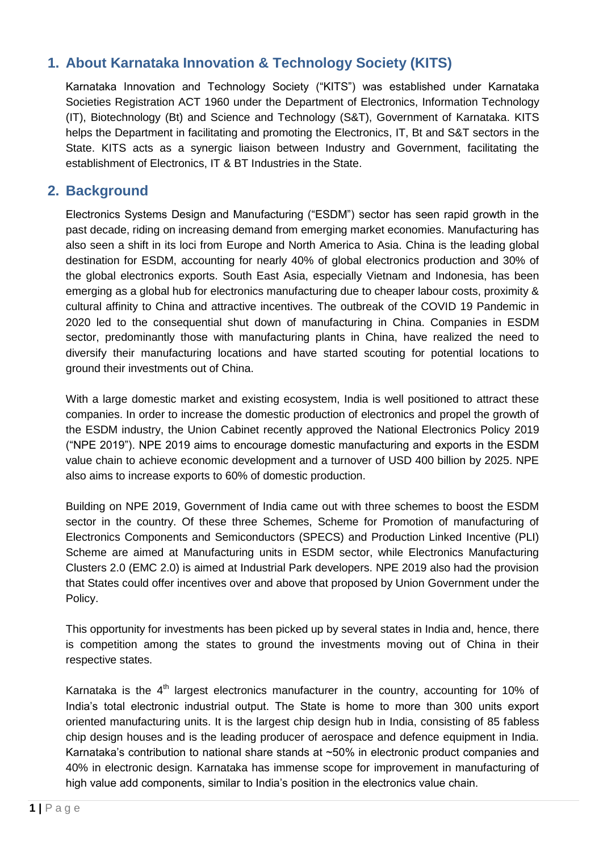## <span id="page-4-0"></span>**1. About Karnataka Innovation & Technology Society (KITS)**

Karnataka Innovation and Technology Society ("KITS") was established under Karnataka Societies Registration ACT 1960 under the Department of Electronics, Information Technology (IT), Biotechnology (Bt) and Science and Technology (S&T), Government of Karnataka. KITS helps the Department in facilitating and promoting the Electronics, IT, Bt and S&T sectors in the State. KITS acts as a synergic liaison between Industry and Government, facilitating the establishment of Electronics, IT & BT Industries in the State.

### <span id="page-4-1"></span>**2. Background**

Electronics Systems Design and Manufacturing ("ESDM") sector has seen rapid growth in the past decade, riding on increasing demand from emerging market economies. Manufacturing has also seen a shift in its loci from Europe and North America to Asia. China is the leading global destination for ESDM, accounting for nearly 40% of global electronics production and 30% of the global electronics exports. South East Asia, especially Vietnam and Indonesia, has been emerging as a global hub for electronics manufacturing due to cheaper labour costs, proximity & cultural affinity to China and attractive incentives. The outbreak of the COVID 19 Pandemic in 2020 led to the consequential shut down of manufacturing in China. Companies in ESDM sector, predominantly those with manufacturing plants in China, have realized the need to diversify their manufacturing locations and have started scouting for potential locations to ground their investments out of China.

With a large domestic market and existing ecosystem, India is well positioned to attract these companies. In order to increase the domestic production of electronics and propel the growth of the ESDM industry, the Union Cabinet recently approved the National Electronics Policy 2019 ("NPE 2019"). NPE 2019 aims to encourage domestic manufacturing and exports in the ESDM value chain to achieve economic development and a turnover of USD 400 billion by 2025. NPE also aims to increase exports to 60% of domestic production.

Building on NPE 2019, Government of India came out with three schemes to boost the ESDM sector in the country. Of these three Schemes, Scheme for Promotion of manufacturing of Electronics Components and Semiconductors (SPECS) and Production Linked Incentive (PLI) Scheme are aimed at Manufacturing units in ESDM sector, while Electronics Manufacturing Clusters 2.0 (EMC 2.0) is aimed at Industrial Park developers. NPE 2019 also had the provision that States could offer incentives over and above that proposed by Union Government under the Policy.

This opportunity for investments has been picked up by several states in India and, hence, there is competition among the states to ground the investments moving out of China in their respective states.

Karnataka is the  $4<sup>th</sup>$  largest electronics manufacturer in the country, accounting for 10% of India's total electronic industrial output. The State is home to more than 300 units export oriented manufacturing units. It is the largest chip design hub in India, consisting of 85 fabless chip design houses and is the leading producer of aerospace and defence equipment in India. Karnataka's contribution to national share stands at ~50% in electronic product companies and 40% in electronic design. Karnataka has immense scope for improvement in manufacturing of high value add components, similar to India's position in the electronics value chain.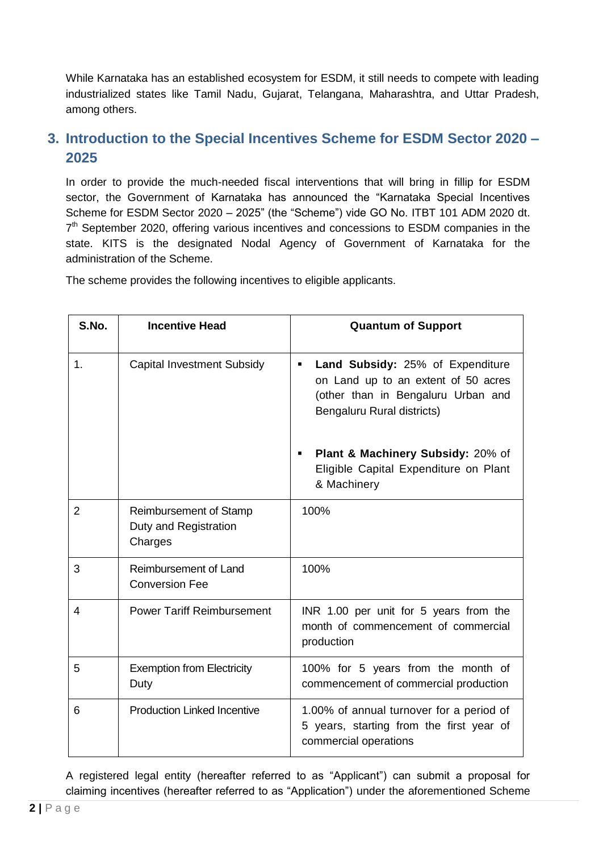While Karnataka has an established ecosystem for ESDM, it still needs to compete with leading industrialized states like Tamil Nadu, Gujarat, Telangana, Maharashtra, and Uttar Pradesh, among others.

## <span id="page-5-0"></span>**3. Introduction to the Special Incentives Scheme for ESDM Sector 2020 – 2025**

In order to provide the much-needed fiscal interventions that will bring in fillip for ESDM sector, the Government of Karnataka has announced the "Karnataka Special Incentives Scheme for ESDM Sector 2020 – 2025" (the "Scheme") vide GO No. ITBT 101 ADM 2020 dt. 7<sup>th</sup> September 2020, offering various incentives and concessions to ESDM companies in the state. KITS is the designated Nodal Agency of Government of Karnataka for the administration of the Scheme.

The scheme provides the following incentives to eligible applicants.

| S.No.          | <b>Incentive Head</b>                                      | <b>Quantum of Support</b>                                                                                                                        |  |
|----------------|------------------------------------------------------------|--------------------------------------------------------------------------------------------------------------------------------------------------|--|
| 1.             | <b>Capital Investment Subsidy</b>                          | Land Subsidy: 25% of Expenditure<br>٠<br>on Land up to an extent of 50 acres<br>(other than in Bengaluru Urban and<br>Bengaluru Rural districts) |  |
|                |                                                            | <b>Plant &amp; Machinery Subsidy: 20% of</b><br>٠<br>Eligible Capital Expenditure on Plant<br>& Machinery                                        |  |
| $\overline{2}$ | Reimbursement of Stamp<br>Duty and Registration<br>Charges | 100%                                                                                                                                             |  |
| 3              | Reimbursement of Land<br><b>Conversion Fee</b>             | 100%                                                                                                                                             |  |
| 4              | <b>Power Tariff Reimbursement</b>                          | INR 1.00 per unit for 5 years from the<br>month of commencement of commercial<br>production                                                      |  |
| 5              | <b>Exemption from Electricity</b><br>Duty                  | 100% for 5 years from the month of<br>commencement of commercial production                                                                      |  |
| 6              | <b>Production Linked Incentive</b>                         | 1.00% of annual turnover for a period of<br>5 years, starting from the first year of<br>commercial operations                                    |  |

A registered legal entity (hereafter referred to as "Applicant") can submit a proposal for claiming incentives (hereafter referred to as "Application") under the aforementioned Scheme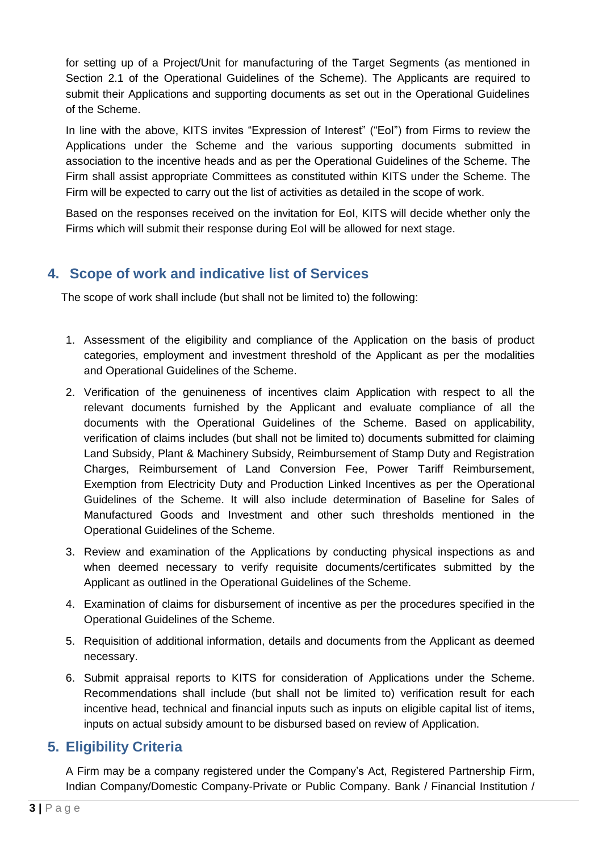for setting up of a Project/Unit for manufacturing of the Target Segments (as mentioned in Section 2.1 of the Operational Guidelines of the Scheme). The Applicants are required to submit their Applications and supporting documents as set out in the Operational Guidelines of the Scheme.

In line with the above, KITS invites "Expression of Interest" ("EoI") from Firms to review the Applications under the Scheme and the various supporting documents submitted in association to the incentive heads and as per the Operational Guidelines of the Scheme. The Firm shall assist appropriate Committees as constituted within KITS under the Scheme. The Firm will be expected to carry out the list of activities as detailed in the scope of work.

Based on the responses received on the invitation for EoI, KITS will decide whether only the Firms which will submit their response during EoI will be allowed for next stage.

## <span id="page-6-0"></span>**4. Scope of work and indicative list of Services**

The scope of work shall include (but shall not be limited to) the following:

- 1. Assessment of the eligibility and compliance of the Application on the basis of product categories, employment and investment threshold of the Applicant as per the modalities and Operational Guidelines of the Scheme.
- 2. Verification of the genuineness of incentives claim Application with respect to all the relevant documents furnished by the Applicant and evaluate compliance of all the documents with the Operational Guidelines of the Scheme. Based on applicability, verification of claims includes (but shall not be limited to) documents submitted for claiming Land Subsidy, Plant & Machinery Subsidy, Reimbursement of Stamp Duty and Registration Charges, Reimbursement of Land Conversion Fee, Power Tariff Reimbursement, Exemption from Electricity Duty and Production Linked Incentives as per the Operational Guidelines of the Scheme. It will also include determination of Baseline for Sales of Manufactured Goods and Investment and other such thresholds mentioned in the Operational Guidelines of the Scheme.
- 3. Review and examination of the Applications by conducting physical inspections as and when deemed necessary to verify requisite documents/certificates submitted by the Applicant as outlined in the Operational Guidelines of the Scheme.
- 4. Examination of claims for disbursement of incentive as per the procedures specified in the Operational Guidelines of the Scheme.
- 5. Requisition of additional information, details and documents from the Applicant as deemed necessary.
- 6. Submit appraisal reports to KITS for consideration of Applications under the Scheme. Recommendations shall include (but shall not be limited to) verification result for each incentive head, technical and financial inputs such as inputs on eligible capital list of items, inputs on actual subsidy amount to be disbursed based on review of Application.

## <span id="page-6-1"></span>**5. Eligibility Criteria**

A Firm may be a company registered under the Company's Act, Registered Partnership Firm, Indian Company/Domestic Company-Private or Public Company. Bank / Financial Institution /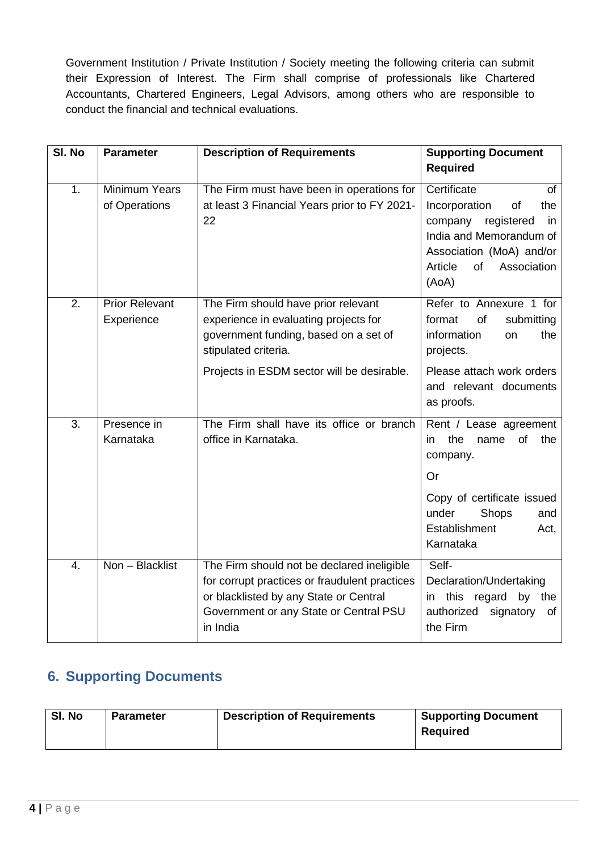Government Institution / Private Institution / Society meeting the following criteria can submit their Expression of Interest. The Firm shall comprise of professionals like Chartered Accountants, Chartered Engineers, Legal Advisors, among others who are responsible to conduct the financial and technical evaluations.

| SI. No | <b>Parameter</b>                      | <b>Description of Requirements</b>                                                                                                                                                          | <b>Supporting Document</b><br><b>Required</b>                                                                                                                                  |
|--------|---------------------------------------|---------------------------------------------------------------------------------------------------------------------------------------------------------------------------------------------|--------------------------------------------------------------------------------------------------------------------------------------------------------------------------------|
| 1.     | <b>Minimum Years</b><br>of Operations | The Firm must have been in operations for<br>at least 3 Financial Years prior to FY 2021-<br>22                                                                                             | Certificate<br>of<br>Incorporation<br>the<br>of<br>company<br>registered<br>in<br>India and Memorandum of<br>Association (MoA) and/or<br>Article<br>of<br>Association<br>(AoA) |
| 2.     | <b>Prior Relevant</b><br>Experience   | The Firm should have prior relevant<br>experience in evaluating projects for<br>government funding, based on a set of<br>stipulated criteria.                                               | Refer to Annexure 1 for<br>format<br>of<br>submitting<br>information<br>the<br>on<br>projects.                                                                                 |
|        |                                       | Projects in ESDM sector will be desirable.                                                                                                                                                  | Please attach work orders<br>and relevant documents<br>as proofs.                                                                                                              |
| 3.     | Presence in<br>Karnataka              | The Firm shall have its office or branch<br>office in Karnataka.                                                                                                                            | Rent / Lease agreement<br>the<br><b>of</b><br>the<br>in.<br>name<br>company.                                                                                                   |
|        |                                       |                                                                                                                                                                                             | Or<br>Copy of certificate issued<br>under<br>Shops<br>and<br>Establishment<br>Act,<br>Karnataka                                                                                |
| 4.     | Non - Blacklist                       | The Firm should not be declared ineligible<br>for corrupt practices or fraudulent practices<br>or blacklisted by any State or Central<br>Government or any State or Central PSU<br>in India | Self-<br>Declaration/Undertaking<br>this<br>regard<br>by<br>the<br>in.<br>authorized<br>signatory<br>of<br>the Firm                                                            |

## <span id="page-7-0"></span>**6. Supporting Documents**

| SI. No<br><b>Parameter</b> | <b>Description of Requirements</b> | <b>Supporting Document</b><br><b>Required</b> |
|----------------------------|------------------------------------|-----------------------------------------------|
|----------------------------|------------------------------------|-----------------------------------------------|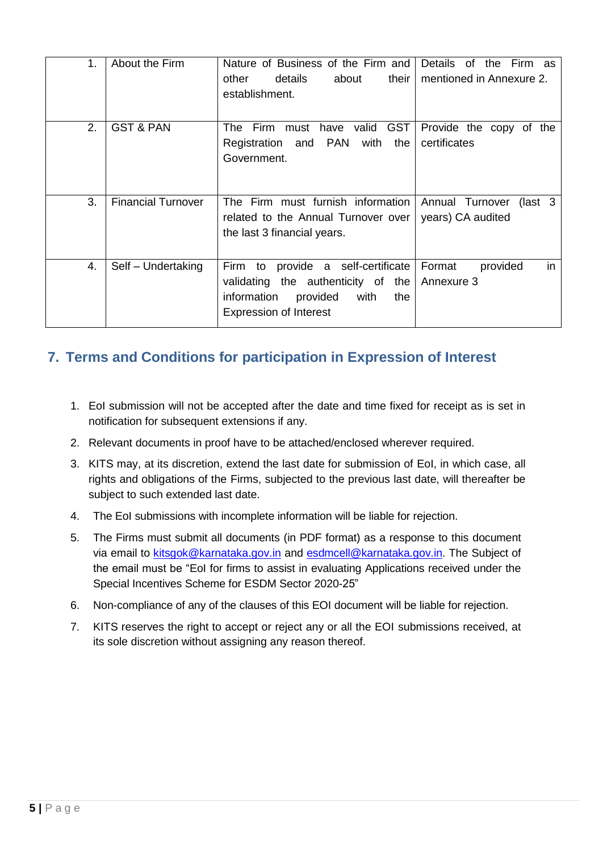| 1. | About the Firm            | Nature of Business of the Firm and<br>their  <br>other<br>details<br>about<br>establishment.                                                                 | Details of the<br>Firm as<br>mentioned in Annexure 2. |
|----|---------------------------|--------------------------------------------------------------------------------------------------------------------------------------------------------------|-------------------------------------------------------|
| 2. | <b>GST &amp; PAN</b>      | The Firm<br><b>GST</b><br>must<br>have valid<br><b>PAN</b><br>Registration and<br>with<br>the<br>Government.                                                 | Provide the copy of the<br>certificates               |
| 3. | <b>Financial Turnover</b> | The Firm must furnish information<br>related to the Annual Turnover over<br>the last 3 financial years.                                                      | $\int$ ast 3<br>Annual Turnover<br>years) CA audited  |
| 4. | Self - Undertaking        | provide a self-certificate<br>Firm<br>to<br>validating the authenticity of<br>the<br>information<br>provided<br>with<br>the<br><b>Expression of Interest</b> | Format<br>in<br>provided<br>Annexure 3                |

## <span id="page-8-0"></span>**7. Terms and Conditions for participation in Expression of Interest**

- 1. EoI submission will not be accepted after the date and time fixed for receipt as is set in notification for subsequent extensions if any.
- 2. Relevant documents in proof have to be attached/enclosed wherever required.
- 3. KITS may, at its discretion, extend the last date for submission of EoI, in which case, all rights and obligations of the Firms, subjected to the previous last date, will thereafter be subject to such extended last date.
- 4. The EoI submissions with incomplete information will be liable for rejection.
- 5. The Firms must submit all documents (in PDF format) as a response to this document via email to [kitsgok@karnataka.gov.in](mailto:kitsgok@karnataka.gov.in) and [esdmcell@karnataka.gov.in.](mailto:esdmcell@karnataka.gov.in) The Subject of the email must be "EoI for firms to assist in evaluating Applications received under the Special Incentives Scheme for ESDM Sector 2020-25"
- 6. Non-compliance of any of the clauses of this EOI document will be liable for rejection.
- 7. KITS reserves the right to accept or reject any or all the EOI submissions received, at its sole discretion without assigning any reason thereof.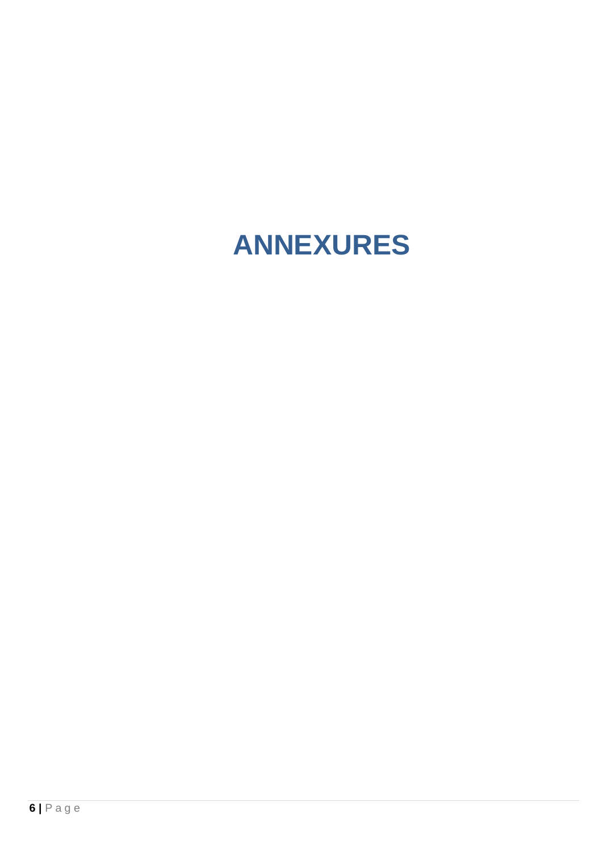# <span id="page-9-0"></span>**ANNEXURES**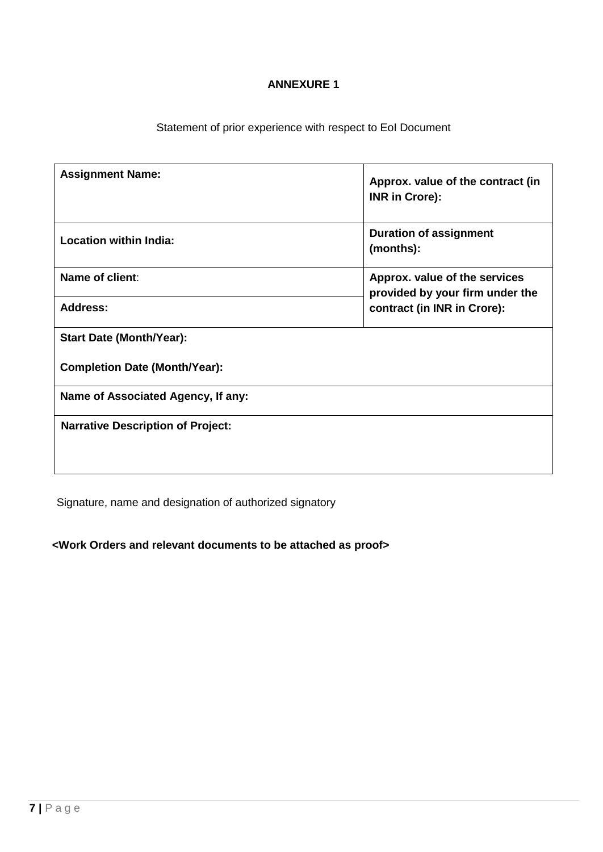#### **ANNEXURE 1**

Statement of prior experience with respect to EoI Document

| <b>Assignment Name:</b>                  | Approx. value of the contract (in<br><b>INR in Crore):</b>                                      |  |
|------------------------------------------|-------------------------------------------------------------------------------------------------|--|
| <b>Location within India:</b>            | <b>Duration of assignment</b><br>(months):                                                      |  |
| Name of client:                          | Approx. value of the services<br>provided by your firm under the<br>contract (in INR in Crore): |  |
| <b>Address:</b>                          |                                                                                                 |  |
| <b>Start Date (Month/Year):</b>          |                                                                                                 |  |
| <b>Completion Date (Month/Year):</b>     |                                                                                                 |  |
| Name of Associated Agency, If any:       |                                                                                                 |  |
| <b>Narrative Description of Project:</b> |                                                                                                 |  |

Signature, name and designation of authorized signatory

**<Work Orders and relevant documents to be attached as proof>**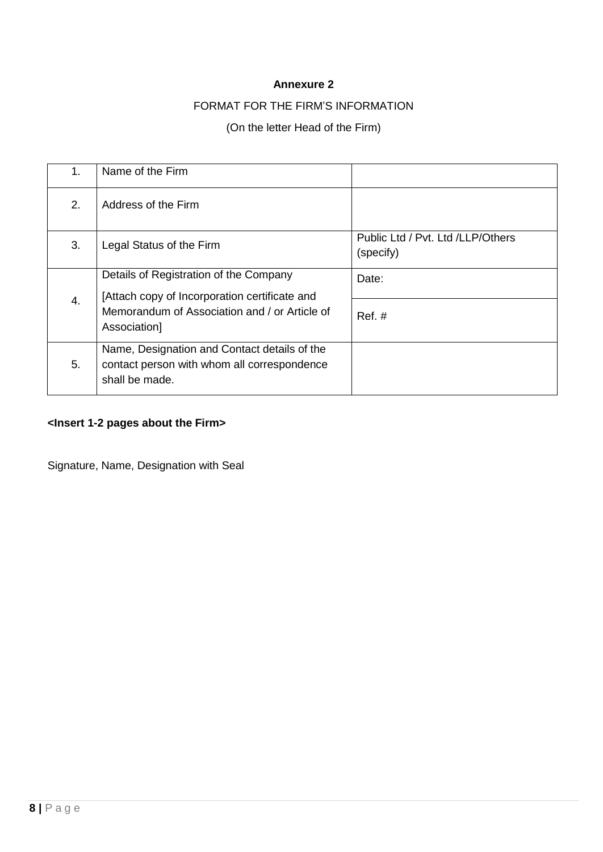#### **Annexure 2**

#### FORMAT FOR THE FIRM'S INFORMATION

#### (On the letter Head of the Firm)

| 1. | Name of the Firm                                                                                              |                                                |
|----|---------------------------------------------------------------------------------------------------------------|------------------------------------------------|
| 2. | Address of the Firm                                                                                           |                                                |
| 3. | Legal Status of the Firm                                                                                      | Public Ltd / Pvt. Ltd /LLP/Others<br>(specify) |
| 4. | Details of Registration of the Company<br>[Attach copy of Incorporation certificate and                       | Date:                                          |
|    | Memorandum of Association and / or Article of<br>Association]                                                 | $Ref. \#$                                      |
| 5. | Name, Designation and Contact details of the<br>contact person with whom all correspondence<br>shall be made. |                                                |

## **<Insert 1-2 pages about the Firm>**

Signature, Name, Designation with Seal